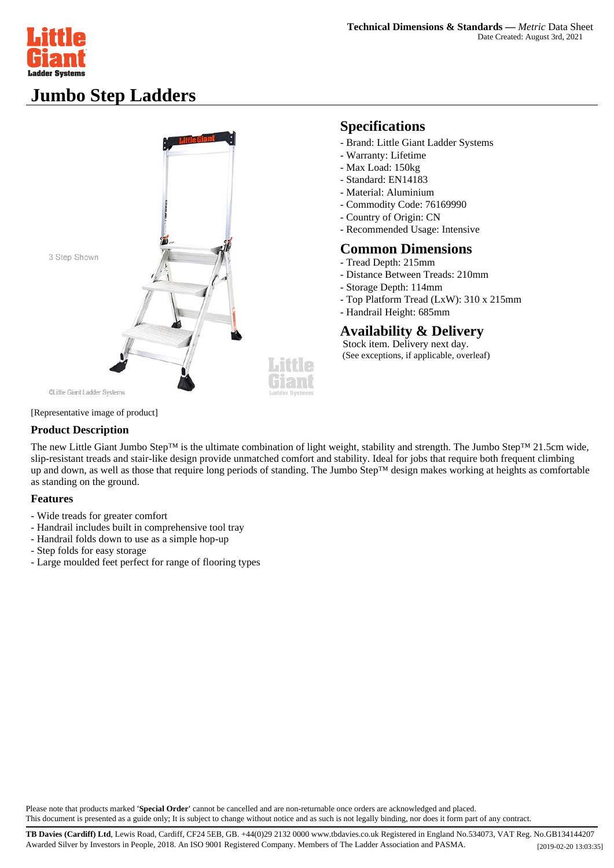

## **Jumbo Step Ladders**



### **Specifications**

- Brand: Little Giant Ladder Systems
- Warranty: Lifetime
- Max Load: 150kg
- Standard: EN14183
- Material: Aluminium
- Commodity Code: 76169990
- Country of Origin: CN
- Recommended Usage: Intensive

#### **Common Dimensions**

- Tread Depth: 215mm
- Distance Between Treads: 210mm
- Storage Depth: 114mm
- Top Platform Tread (LxW): 310 x 215mm
- Handrail Height: 685mm

### **Availability & Delivery**

 Stock item. Delivery next day. (See exceptions, if applicable, overleaf)

#### [Representative image of product]

#### **Product Description**

The new Little Giant Jumbo Step™ is the ultimate combination of light weight, stability and strength. The Jumbo Step™ 21.5cm wide, slip-resistant treads and stair-like design provide unmatched comfort and stability. Ideal for jobs that require both frequent climbing up and down, as well as those that require long periods of standing. The Jumbo Step™ design makes working at heights as comfortable as standing on the ground.

#### **Features**

- Wide treads for greater comfort
- Handrail includes built in comprehensive tool tray
- Handrail folds down to use as a simple hop-up
- Step folds for easy storage
- Large moulded feet perfect for range of flooring types

Please note that products marked **'Special Order'** cannot be cancelled and are non-returnable once orders are acknowledged and placed. This document is presented as a guide only; It is subject to change without notice and as such is not legally binding, nor does it form part of any contract.